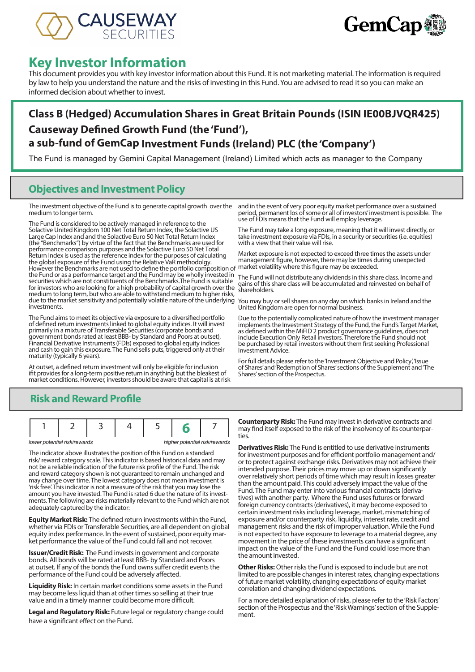



# **Key Investor Information**

This document provides you with key investor information about this Fund. It is not marketing material. The information is required by law to help you understand the nature and the risks of investing in this Fund. You are advised to read it so you can make an informed decision about whether to invest.

## **Class B (Hedged) Accumulation Shares in Great Britain Pounds (ISIN IE00BJVQR425) Causeway Defined Growth Fund (the 'Fund'), a sub-fund of GemCap Investment Funds (Ireland) PLC (the 'Company')**

The Fund is managed by Gemini Capital Management (Ireland) Limited which acts as manager to the Company

#### **Objectives and Investment Policy**

The investment objective of the Fund is to generate capital growth over the medium to longer term.

The Fund is considered to be actively managed in reference to the Solactive United Kingdom 100 Net Total Return Index, the Solactive US Large Cap Index and and the Solactive Euro 50 Net Total Return Index (the "Benchmarks") by virtue of the fact that the Benchmarks are used for performance comparison purposes and the Solactive Euro 50 Net Total Return Index is used as the reference index for the purposes of calculating the global exposure of the Fund using the Relative VaR methodolgy. However the Benchmarks are not used to define the portfolio composition of the Fund or as a performance target and the Fund may be wholly invested in securities which are not constituents of the Benchmarks.The Fund is suitable for investors who are looking for a high probability of capital growth over the medium to long term, but who are able to withstand medium to higher risks, due to the market sensitivity and potentially volatile nature of the underlying investments.

The Fund aims to meet its objective via exposure to a diversified portfolio of defined return investments linked to global equity indices. It will invest primarily in a mixture of Transferable Securities (corporate bonds and government bonds rated at least BBB- by Standard and Poors at outset), Financial Derivative Instruments (FDIs) exposed to global equity indices and cash to gain this exposure. The Fund sells puts, triggered only at their maturity (typically 6 years).

At outset, a defined return investment will only be eligible for inclusion ifit provides for a long-term positive return in anything but the bleakest of market conditions. However, investors should be aware that capital is at risk

and in the event of very poor equity market performance over a sustained period, permanent los of some or all of investors' investment is possible. The use of FDIs means that the Fund will employ leverage.

The Fund may take a long exposure, meaning that it will invest directly, or take investment exposure via FDIs, in a security or securities (i.e. equities) with a view that their value will rise.

Market exposure is not expected to exceed three times the assets under management figure, however, there may be times during unexpected market volatility where this figure may be exceeded.

The Fund will not distribute any dividends in this share class. Income and gains of this share class will be accumulated and reinvested on behalf of shareholders.

You may buy or sell shares on any day on which banks in Ireland and the United Kingdom are open for normal business.

Due to the potentially complicated nature of how the investment manager implements the Investment Strategy of the Fund, the Fund's Target Market, as defined within the MiFID 2 product governance guidelines, does not include Execution Only Retail investors. Therefore the Fund should not be purchased by retail investors without them first seeking Professional Investment Advice.

For full details please refer to the 'Investment Objective and Policy', 'Issue of Shares' and 'Redemption of Shares' sections of the Supplement and 'The Shares' section of the Prospectus.

## **Risk and Reward Profile**

|  | lower potential risk/rewards |  |  | higher potential risk/rewards |
|--|------------------------------|--|--|-------------------------------|

The indicator above illustrates the position of this Fund on a standard risk/ reward category scale. This indicator is based historical data and may not be a reliable indication of the future risk profile of the Fund. The risk and reward category shown is not guaranteed to remain unchanged and may change over time. The lowest category does not mean investment is 'risk free'. This indicator is not a measure of the risk that you may lose the ments. The following are risks materially relevant to the Fund which are not adequately captured by the indicator:

**Equity Market Risk:** The defined return investments within the Fund, whether via FDIs or Transferable Securities, are all dependent on global equity index performance. In the event of sustained, poor equity market performance the value of the Fund could fall and not recover.

**Issuer/Credit Risk:** The Fund invests in government and corporate bonds. All bonds will be rated at least BBB- by Standard and Poors at outset. If any of the bonds the Fund owns suffer credit events the performance of the Fund could be adversely affected.

**Liquidity Risk:** In certain market conditions some assets in the Fund may become less liquid than at other times so selling at their true value and in a timely manner could become more difficult.

**Legal and Regulatory Risk:** Future legal or regulatory change could have a significant effect on the Fund.

**Counterparty Risk:** The Fund may invest in derivative contracts and may find itself exposed to the risk of the insolvency of its counterpar- ties.

**Derivatives Risk:** The Fund is entitled to use derivative instruments for investment purposes and for efficient portfolio management and/ or to protect against exchange risks. Derivatives may not achieve their intended purpose. Their prices may move up or down significantly over relatively short periods of time which may result in losses greater than the amount paid. This could adversely impact the value of the Fund. The Fund may enter into various financial contracts (derivatives) with another party. Where the Fund uses futures or forward foreign currency contracts (derivatives), it may become exposed to certain investment risks including leverage, market, mismatching of exposure and/or counterparty risk, liquidity, interest rate, credit and management risks and the risk of improper valuation. While the Fund is not expected to have exposure to leverage to a material degree, any movement in the price of these investments can have a significant impact on the value of the Fund and the Fund could lose more than the amount invested.

**Other Risks:** Other risks the Fund is exposed to include but are not limited to are possible changes in interest rates, changing expectations of future market volatility, changing expectations of equity market correlation and changing dividend expectations.

For a more detailed explanation of risks, please refer to the 'Risk Factors' section of the Prospectus and the 'Risk Warnings' section of the Supplement.